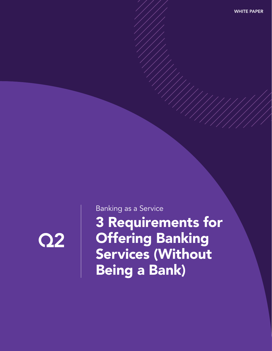

Banking as a Service

3 Requirements for **Offering Banking** Services (Without Being a Bank)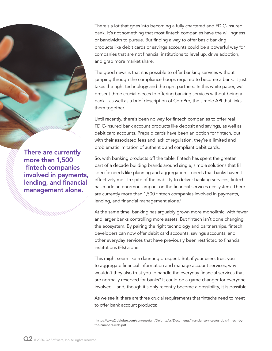There's a lot that goes into becoming a fully chartered and FDIC-insured bank. It's not something that most fintech companies have the willingness or bandwidth to pursue. But finding a way to offer basic banking products like debit cards or savings accounts could be a powerful way for companies that are not financial institutions to level up, drive adoption, and grab more market share.

The good news is that it is possible to offer banking services without jumping through the compliance hoops required to become a bank. It just takes the right technology and the right partners. In this white paper, we'll present three crucial pieces to offering banking services without being a bank—as well as a brief description of CorePro, the simple API that links them together.

Until recently, there's been no way for fintech companies to offer real FDIC-insured bank account products like deposit and savings, as well as debit card accounts. Prepaid cards have been an option for fintech, but with their associated fees and lack of regulation, they're a limited and problematic imitation of authentic and compliant debit cards.

So, with banking products off the table, fintech has spent the greater part of a decade building brands around single, simple solutions that fill specific needs like planning and aggregation—needs that banks haven't effectively met. In spite of the inability to deliver banking services, fintech has made an enormous impact on the financial services ecosystem. There are currently more than 1,500 fintech companies involved in payments, lending, and financial management alone. $^{\rm 1}$ 

At the same time, banking has arguably grown more monolithic, with fewer and larger banks controlling more assets. But fintech isn't done changing the ecosystem. By pairing the right technology and partnerships, fintech developers can now offer debit card accounts, savings accounts, and other everyday services that have previously been restricted to financial institutions (FIs) alone.

This might seem like a daunting prospect. But, if your users trust you to aggregate financial information and manage account services, why wouldn't they also trust you to handle the everyday financial services that are normally reserved for banks? It could be a game changer for everyone involved—and, though it's only recently become a possibility, it is possible.

As we see it, there are three crucial requirements that fintechs need to meet to offer bank account products:

1 https://www2.deloitte.com/content/dam/Deloitte/us/Documents/financial-services/us-dcfs-fintech-bythe-numbers-web.pdf

There are currently more than 1,500 fintech companies involved in payments, lending, and financial management alone.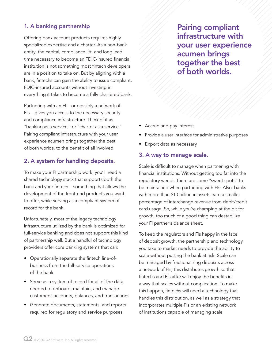## 1. A banking partnership

Offering bank account products requires highly specialized expertise and a charter. As a non-bank entity, the capital, compliance lift, and long lead time necessary to become an FDIC-insured financial institution is not something most fintech developers are in a position to take on. But by aligning with a bank, fintechs can gain the ability to issue compliant, FDIC-insured accounts without investing in everything it takes to become a fully chartered bank.

Partnering with an FI—or possibly a network of FIs—gives you access to the necessary security and compliance infrastructure. Think of it as "banking as a service," or "charter as a service." Pairing compliant infrastructure with your user experience acumen brings together the best of both worlds, to the benefit of all involved.

## 2. A system for handling deposits.

To make your FI partnership work, you'll need a shared technology stack that supports both the bank and your fintech—something that allows the development of the front-end products you want to offer, while serving as a compliant system of record for the bank.

Unfortunately, most of the legacy technology infrastructure utilized by the bank is optimized for full-service banking and does not support this kind of partnership well. But a handful of technology providers offer core banking systems that can:

- Operationally separate the fintech line-ofbusiness from the full-service operations of the bank
- Serve as a system of record for all of the data needed to onboard, maintain, and manage customers' accounts, balances, and transactions
- Generate documents, statements, and reports required for regulatory and service purposes

Pairing compliant infrastructure with your user experience acumen brings together the best of both worlds.

- Accrue and pay interest
- Provide a user interface for administrative purposes
- Export data as necessary

### 3. A way to manage scale.

Scale is difficult to manage when partnering with financial institutions. Without getting too far into the regulatory weeds, there are some "sweet spots" to be maintained when partnering with FIs. Also, banks with more than \$10 billion in assets earn a smaller percentage of interchange revenue from debit/credit card usage. So, while you're champing at the bit for growth, too much of a good thing can destabilize your FI partner's balance sheet.

To keep the regulators and FIs happy in the face of deposit growth, the partnership and technology you take to market needs to provide the ability to scale without putting the bank at risk. Scale can be managed by fractionalizing deposits across a network of FIs; this distributes growth so that fintechs and FIs alike will enjoy the benefits in a way that scales without complication. To make this happen, fintechs will need a technology that handles this distribution, as well as a strategy that incorporates multiple FIs or an existing network of institutions capable of managing scale.